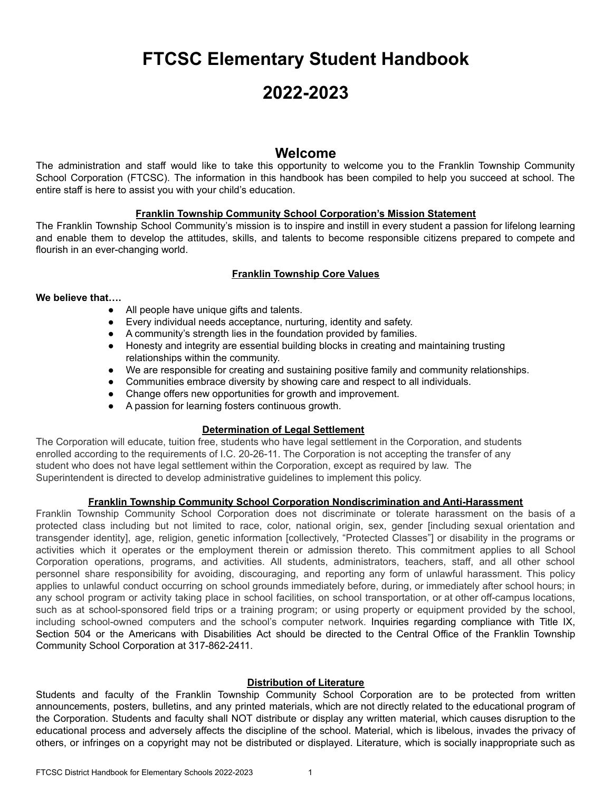# **FTCSC Elementary Student Handbook**

# **2022-2023**

# **Welcome**

The administration and staff would like to take this opportunity to welcome you to the Franklin Township Community School Corporation (FTCSC). The information in this handbook has been compiled to help you succeed at school. The entire staff is here to assist you with your child's education.

## **Franklin Township Community School Corporation's Mission Statement**

The Franklin Township School Community's mission is to inspire and instill in every student a passion for lifelong learning and enable them to develop the attitudes, skills, and talents to become responsible citizens prepared to compete and flourish in an ever-changing world.

## **Franklin Township Core Values**

## **We believe that….**

- All people have unique gifts and talents.
- Every individual needs acceptance, nurturing, identity and safety.
- A community's strength lies in the foundation provided by families.
- Honesty and integrity are essential building blocks in creating and maintaining trusting relationships within the community.
- We are responsible for creating and sustaining positive family and community relationships.
- Communities embrace diversity by showing care and respect to all individuals.
- Change offers new opportunities for growth and improvement.
- A passion for learning fosters continuous growth.

## **Determination of Legal Settlement**

The Corporation will educate, tuition free, students who have legal settlement in the Corporation, and students enrolled according to the requirements of I.C. 20-26-11. The Corporation is not accepting the transfer of any student who does not have legal settlement within the Corporation, except as required by law. The Superintendent is directed to develop administrative guidelines to implement this policy.

## **Franklin Township Community School Corporation Nondiscrimination and Anti-Harassment**

Franklin Township Community School Corporation does not discriminate or tolerate harassment on the basis of a protected class including but not limited to race, color, national origin, sex, gender [including sexual orientation and transgender identity], age, religion, genetic information [collectively, "Protected Classes"] or disability in the programs or activities which it operates or the employment therein or admission thereto. This commitment applies to all School Corporation operations, programs, and activities. All students, administrators, teachers, staff, and all other school personnel share responsibility for avoiding, discouraging, and reporting any form of unlawful harassment. This policy applies to unlawful conduct occurring on school grounds immediately before, during, or immediately after school hours; in any school program or activity taking place in school facilities, on school transportation, or at other off-campus locations, such as at school-sponsored field trips or a training program; or using property or equipment provided by the school, including school-owned computers and the school's computer network. Inquiries regarding compliance with Title IX, Section 504 or the Americans with Disabilities Act should be directed to the Central Office of the Franklin Township Community School Corporation at 317-862-2411.

## **Distribution of Literature**

Students and faculty of the Franklin Township Community School Corporation are to be protected from written announcements, posters, bulletins, and any printed materials, which are not directly related to the educational program of the Corporation. Students and faculty shall NOT distribute or display any written material, which causes disruption to the educational process and adversely affects the discipline of the school. Material, which is libelous, invades the privacy of others, or infringes on a copyright may not be distributed or displayed. Literature, which is socially inappropriate such as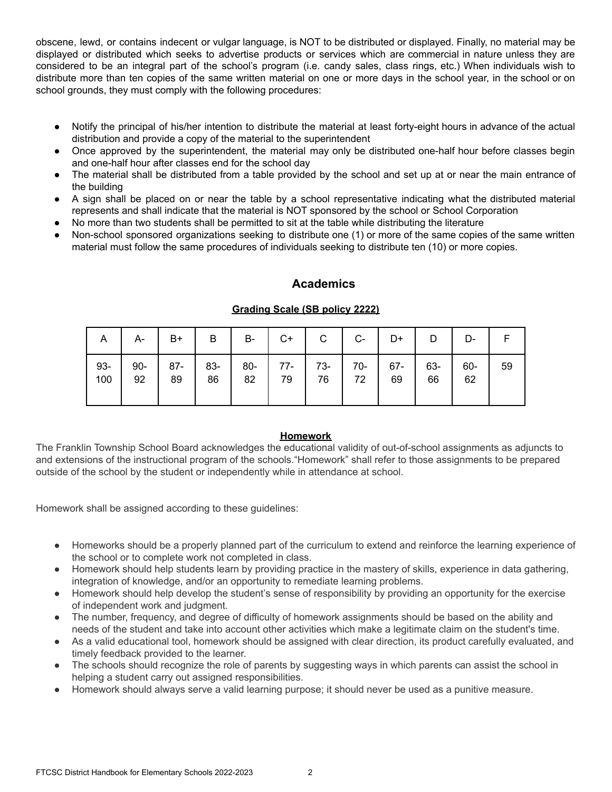obscene, lewd, or contains indecent or vulgar language, is NOT to be distributed or displayed. Finally, no material may be displayed or distributed which seeks to advertise products or services which are commercial in nature unless they are considered to be an integral part of the school's program (i.e. candy sales, class rings, etc.) When individuals wish to distribute more than ten copies of the same written material on one or more days in the school year, in the school or on school grounds, they must comply with the following procedures:

- Notify the principal of his/her intention to distribute the material at least forty-eight hours in advance of the actual distribution and provide a copy of the material to the superintendent
- Once approved by the superintendent, the material may only be distributed one-half hour before classes begin and one-half hour after classes end for the school day
- The material shall be distributed from a table provided by the school and set up at or near the main entrance of the building
- A sign shall be placed on or near the table by a school representative indicating what the distributed material represents and shall indicate that the material is NOT sponsored by the school or School Corporation
- No more than two students shall be permitted to sit at the table while distributing the literature
- Non-school sponsored organizations seeking to distribute one (1) or more of the same copies of the same written material must follow the same procedures of individuals seeking to distribute ten (10) or more copies.

## **Academics**

## **Grading Scale (SB policy 2222)**

|     | A $\mid$ A- $\mid$ B+ $\mid$ B $\mid$ B- $\mid$ C+ $\mid$ C $\mid$ C- $\mid$ D+ $\mid$ D $\mid$ D- |  |  |  |    |    |    |
|-----|----------------------------------------------------------------------------------------------------|--|--|--|----|----|----|
| 100 | 93-   90-   87-   83-   80-   77-   73-   70-   67-   63-   60-                                    |  |  |  | 66 | 62 | 59 |

## **Homework**

The Franklin Township School Board acknowledges the educational validity of out-of-school assignments as adjuncts to and extensions of the instructional program of the schools."Homework" shall refer to those assignments to be prepared outside of the school by the student or independently while in attendance at school.

Homework shall be assigned according to these guidelines:

- Homeworks should be a properly planned part of the curriculum to extend and reinforce the learning experience of the school or to complete work not completed in class.
- Homework should help students learn by providing practice in the mastery of skills, experience in data gathering, integration of knowledge, and/or an opportunity to remediate learning problems.
- Homework should help develop the student's sense of responsibility by providing an opportunity for the exercise of independent work and judgment.
- The number, frequency, and degree of difficulty of homework assignments should be based on the ability and needs of the student and take into account other activities which make a legitimate claim on the student's time.
- As a valid educational tool, homework should be assigned with clear direction, its product carefully evaluated, and timely feedback provided to the learner.
- The schools should recognize the role of parents by suggesting ways in which parents can assist the school in helping a student carry out assigned responsibilities.
- Homework should always serve a valid learning purpose; it should never be used as a punitive measure.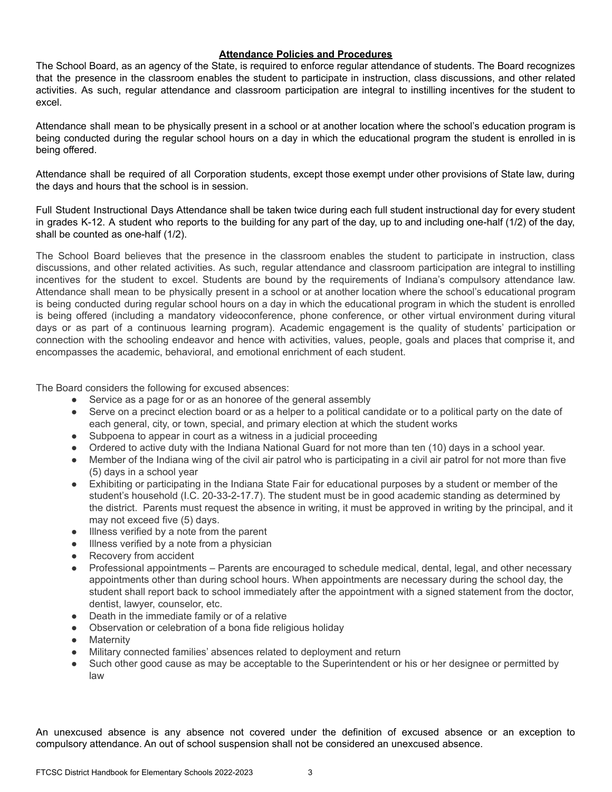#### **Attendance Policies and Procedures**

The School Board, as an agency of the State, is required to enforce regular attendance of students. The Board recognizes that the presence in the classroom enables the student to participate in instruction, class discussions, and other related activities. As such, regular attendance and classroom participation are integral to instilling incentives for the student to excel.

Attendance shall mean to be physically present in a school or at another location where the school's education program is being conducted during the regular school hours on a day in which the educational program the student is enrolled in is being offered.

Attendance shall be required of all Corporation students, except those exempt under other provisions of State law, during the days and hours that the school is in session.

Full Student Instructional Days Attendance shall be taken twice during each full student instructional day for every student in grades K-12. A student who reports to the building for any part of the day, up to and including one-half (1/2) of the day, shall be counted as one-half (1/2).

The School Board believes that the presence in the classroom enables the student to participate in instruction, class discussions, and other related activities. As such, regular attendance and classroom participation are integral to instilling incentives for the student to excel. Students are bound by the requirements of Indiana's compulsory attendance law. Attendance shall mean to be physically present in a school or at another location where the school's educational program is being conducted during regular school hours on a day in which the educational program in which the student is enrolled is being offered (including a mandatory videoconference, phone conference, or other virtual environment during vitural days or as part of a continuous learning program). Academic engagement is the quality of students' participation or connection with the schooling endeavor and hence with activities, values, people, goals and places that comprise it, and encompasses the academic, behavioral, and emotional enrichment of each student.

The Board considers the following for excused absences:

- Service as a page for or as an honoree of the general assembly
- Serve on a precinct election board or as a helper to a political candidate or to a political party on the date of each general, city, or town, special, and primary election at which the student works
- Subpoena to appear in court as a witness in a judicial proceeding
- Ordered to active duty with the Indiana National Guard for not more than ten (10) days in a school year.
- Member of the Indiana wing of the civil air patrol who is participating in a civil air patrol for not more than five (5) days in a school year
- Exhibiting or participating in the Indiana State Fair for educational purposes by a student or member of the student's household (I.C. 20-33-2-17.7). The student must be in good academic standing as determined by the district. Parents must request the absence in writing, it must be approved in writing by the principal, and it may not exceed five (5) days.
- Illness verified by a note from the parent
- Illness verified by a note from a physician
- Recovery from accident
- Professional appointments Parents are encouraged to schedule medical, dental, legal, and other necessary appointments other than during school hours. When appointments are necessary during the school day, the student shall report back to school immediately after the appointment with a signed statement from the doctor, dentist, lawyer, counselor, etc.
- Death in the immediate family or of a relative
- Observation or celebration of a bona fide religious holiday
- Maternity
- Military connected families' absences related to deployment and return
- Such other good cause as may be acceptable to the Superintendent or his or her designee or permitted by law

An unexcused absence is any absence not covered under the definition of excused absence or an exception to compulsory attendance. An out of school suspension shall not be considered an unexcused absence.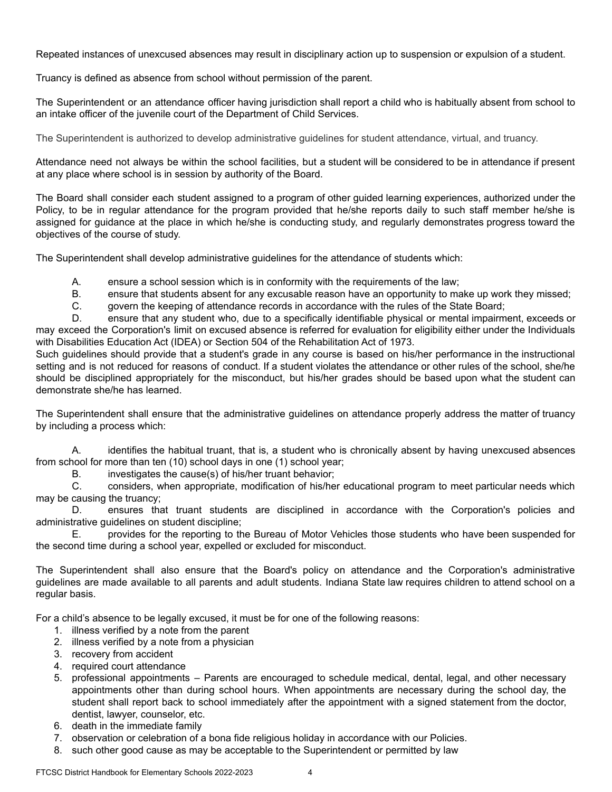Repeated instances of unexcused absences may result in disciplinary action up to suspension or expulsion of a student.

Truancy is defined as absence from school without permission of the parent.

The Superintendent or an attendance officer having jurisdiction shall report a child who is habitually absent from school to an intake officer of the juvenile court of the Department of Child Services.

The Superintendent is authorized to develop administrative guidelines for student attendance, virtual, and truancy.

Attendance need not always be within the school facilities, but a student will be considered to be in attendance if present at any place where school is in session by authority of the Board.

The Board shall consider each student assigned to a program of other guided learning experiences, authorized under the Policy, to be in regular attendance for the program provided that he/she reports daily to such staff member he/she is assigned for guidance at the place in which he/she is conducting study, and regularly demonstrates progress toward the objectives of the course of study.

The Superintendent shall develop administrative guidelines for the attendance of students which:

A. ensure a school session which is in conformity with the requirements of the law;

B. ensure that students absent for any excusable reason have an opportunity to make up work they missed;

C. govern the keeping of attendance records in accordance with the rules of the State Board;

D. ensure that any student who, due to a specifically identifiable physical or mental impairment, exceeds or may exceed the Corporation's limit on excused absence is referred for evaluation for eligibility either under the Individuals with Disabilities Education Act (IDEA) or Section 504 of the Rehabilitation Act of 1973.

Such guidelines should provide that a student's grade in any course is based on his/her performance in the instructional setting and is not reduced for reasons of conduct. If a student violates the attendance or other rules of the school, she/he should be disciplined appropriately for the misconduct, but his/her grades should be based upon what the student can demonstrate she/he has learned.

The Superintendent shall ensure that the administrative guidelines on attendance properly address the matter of truancy by including a process which:

A. identifies the habitual truant, that is, a student who is chronically absent by having unexcused absences from school for more than ten (10) school days in one (1) school year;

B. investigates the cause(s) of his/her truant behavior;

C. considers, when appropriate, modification of his/her educational program to meet particular needs which may be causing the truancy;

D. ensures that truant students are disciplined in accordance with the Corporation's policies and administrative guidelines on student discipline;

E. provides for the reporting to the Bureau of Motor Vehicles those students who have been suspended for the second time during a school year, expelled or excluded for misconduct.

The Superintendent shall also ensure that the Board's policy on attendance and the Corporation's administrative guidelines are made available to all parents and adult students. Indiana State law requires children to attend school on a regular basis.

For a child's absence to be legally excused, it must be for one of the following reasons:

- 1. illness verified by a note from the parent
- 2. illness verified by a note from a physician
- 3. recovery from accident
- 4. required court attendance
- 5. professional appointments Parents are encouraged to schedule medical, dental, legal, and other necessary appointments other than during school hours. When appointments are necessary during the school day, the student shall report back to school immediately after the appointment with a signed statement from the doctor, dentist, lawyer, counselor, etc.
- 6. death in the immediate family
- 7. observation or celebration of a bona fide religious holiday in accordance with our Policies.
- 8. such other good cause as may be acceptable to the Superintendent or permitted by law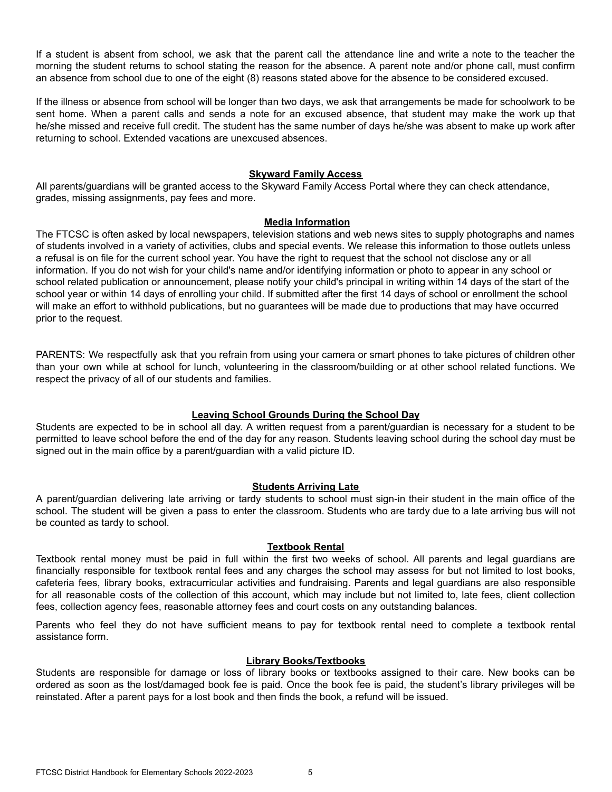If a student is absent from school, we ask that the parent call the attendance line and write a note to the teacher the morning the student returns to school stating the reason for the absence. A parent note and/or phone call, must confirm an absence from school due to one of the eight (8) reasons stated above for the absence to be considered excused.

If the illness or absence from school will be longer than two days, we ask that arrangements be made for schoolwork to be sent home. When a parent calls and sends a note for an excused absence, that student may make the work up that he/she missed and receive full credit. The student has the same number of days he/she was absent to make up work after returning to school. Extended vacations are unexcused absences.

#### **Skyward Family Access**

All parents/guardians will be granted access to the Skyward Family Access Portal where they can check attendance, grades, missing assignments, pay fees and more.

#### **Media Information**

The FTCSC is often asked by local newspapers, television stations and web news sites to supply photographs and names of students involved in a variety of activities, clubs and special events. We release this information to those outlets unless a refusal is on file for the current school year. You have the right to request that the school not disclose any or all information. If you do not wish for your child's name and/or identifying information or photo to appear in any school or school related publication or announcement, please notify your child's principal in writing within 14 days of the start of the school year or within 14 days of enrolling your child. If submitted after the first 14 days of school or enrollment the school will make an effort to withhold publications, but no guarantees will be made due to productions that may have occurred prior to the request.

PARENTS: We respectfully ask that you refrain from using your camera or smart phones to take pictures of children other than your own while at school for lunch, volunteering in the classroom/building or at other school related functions. We respect the privacy of all of our students and families.

## **Leaving School Grounds During the School Day**

Students are expected to be in school all day. A written request from a parent/guardian is necessary for a student to be permitted to leave school before the end of the day for any reason. Students leaving school during the school day must be signed out in the main office by a parent/guardian with a valid picture ID.

## **Students Arriving Late**

A parent/guardian delivering late arriving or tardy students to school must sign-in their student in the main office of the school. The student will be given a pass to enter the classroom. Students who are tardy due to a late arriving bus will not be counted as tardy to school.

#### **Textbook Rental**

Textbook rental money must be paid in full within the first two weeks of school. All parents and legal guardians are financially responsible for textbook rental fees and any charges the school may assess for but not limited to lost books, cafeteria fees, library books, extracurricular activities and fundraising. Parents and legal guardians are also responsible for all reasonable costs of the collection of this account, which may include but not limited to, late fees, client collection fees, collection agency fees, reasonable attorney fees and court costs on any outstanding balances.

Parents who feel they do not have sufficient means to pay for textbook rental need to complete a textbook rental assistance form.

#### **Library Books/Textbooks**

Students are responsible for damage or loss of library books or textbooks assigned to their care. New books can be ordered as soon as the lost/damaged book fee is paid. Once the book fee is paid, the student's library privileges will be reinstated. After a parent pays for a lost book and then finds the book, a refund will be issued.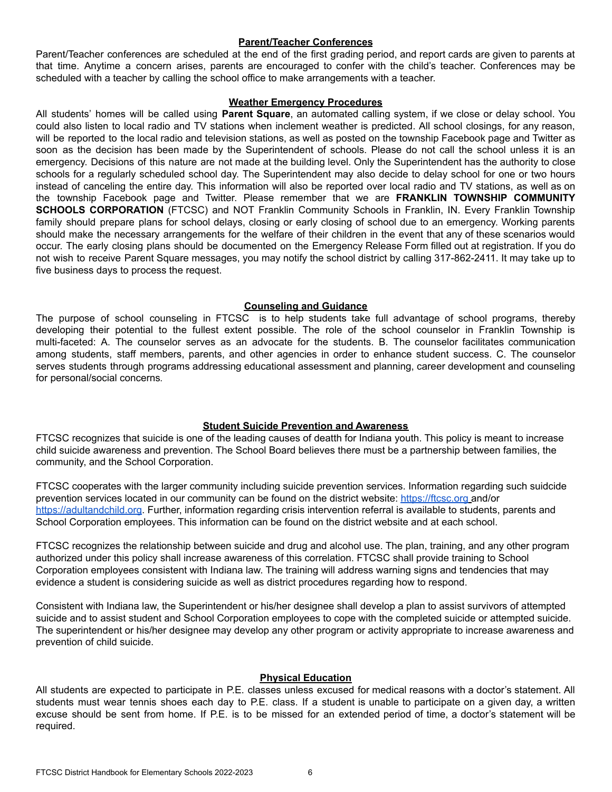#### **Parent/Teacher Conferences**

Parent/Teacher conferences are scheduled at the end of the first grading period, and report cards are given to parents at that time. Anytime a concern arises, parents are encouraged to confer with the child's teacher. Conferences may be scheduled with a teacher by calling the school office to make arrangements with a teacher.

#### **Weather Emergency Procedures**

All students' homes will be called using **Parent Square**, an automated calling system, if we close or delay school. You could also listen to local radio and TV stations when inclement weather is predicted. All school closings, for any reason, will be reported to the local radio and television stations, as well as posted on the township Facebook page and Twitter as soon as the decision has been made by the Superintendent of schools. Please do not call the school unless it is an emergency. Decisions of this nature are not made at the building level. Only the Superintendent has the authority to close schools for a regularly scheduled school day. The Superintendent may also decide to delay school for one or two hours instead of canceling the entire day. This information will also be reported over local radio and TV stations, as well as on the township Facebook page and Twitter. Please remember that we are **FRANKLIN TOWNSHIP COMMUNITY SCHOOLS CORPORATION** (FTCSC) and NOT Franklin Community Schools in Franklin, IN. Every Franklin Township family should prepare plans for school delays, closing or early closing of school due to an emergency. Working parents should make the necessary arrangements for the welfare of their children in the event that any of these scenarios would occur. The early closing plans should be documented on the Emergency Release Form filled out at registration. If you do not wish to receive Parent Square messages, you may notify the school district by calling 317-862-2411. It may take up to five business days to process the request.

#### **Counseling and Guidance**

The purpose of school counseling in FTCSC is to help students take full advantage of school programs, thereby developing their potential to the fullest extent possible. The role of the school counselor in Franklin Township is multi-faceted: A. The counselor serves as an advocate for the students. B. The counselor facilitates communication among students, staff members, parents, and other agencies in order to enhance student success. C. The counselor serves students through programs addressing educational assessment and planning, career development and counseling for personal/social concerns.

## **Student Suicide Prevention and Awareness**

FTCSC recognizes that suicide is one of the leading causes of deatth for Indiana youth. This policy is meant to increase child suicide awareness and prevention. The School Board believes there must be a partnership between families, the community, and the School Corporation.

FTCSC cooperates with the larger community including suicide prevention services. Information regarding such suidcide prevention services located in our community can be found on the district website: <https://ftcsc.org> and/or <https://adultandchild.org>. Further, information regarding crisis intervention referral is available to students, parents and School Corporation employees. This information can be found on the district website and at each school.

FTCSC recognizes the relationship between suicide and drug and alcohol use. The plan, training, and any other program authorized under this policy shall increase awareness of this correlation. FTCSC shall provide training to School Corporation employees consistent with Indiana law. The training will address warning signs and tendencies that may evidence a student is considering suicide as well as district procedures regarding how to respond.

Consistent with Indiana law, the Superintendent or his/her designee shall develop a plan to assist survivors of attempted suicide and to assist student and School Corporation employees to cope with the completed suicide or attempted suicide. The superintendent or his/her designee may develop any other program or activity appropriate to increase awareness and prevention of child suicide.

#### **Physical Education**

All students are expected to participate in P.E. classes unless excused for medical reasons with a doctor's statement. All students must wear tennis shoes each day to P.E. class. If a student is unable to participate on a given day, a written excuse should be sent from home. If P.E. is to be missed for an extended period of time, a doctor's statement will be required.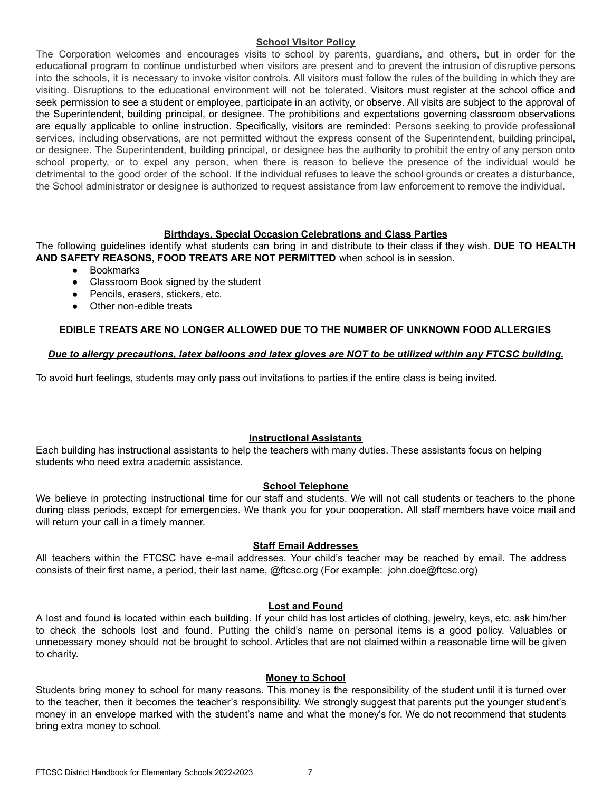#### **School Visitor Policy**

The Corporation welcomes and encourages visits to school by parents, guardians, and others, but in order for the educational program to continue undisturbed when visitors are present and to prevent the intrusion of disruptive persons into the schools, it is necessary to invoke visitor controls. All visitors must follow the rules of the building in which they are visiting. Disruptions to the educational environment will not be tolerated. Visitors must register at the school office and seek permission to see a student or employee, participate in an activity, or observe. All visits are subject to the approval of the Superintendent, building principal, or designee. The prohibitions and expectations governing classroom observations are equally applicable to online instruction. Specifically, visitors are reminded: Persons seeking to provide professional services, including observations, are not permitted without the express consent of the Superintendent, building principal, or designee. The Superintendent, building principal, or designee has the authority to prohibit the entry of any person onto school property, or to expel any person, when there is reason to believe the presence of the individual would be detrimental to the good order of the school. If the individual refuses to leave the school grounds or creates a disturbance, the School administrator or designee is authorized to request assistance from law enforcement to remove the individual.

#### **Birthdays, Special Occasion Celebrations and Class Parties**

The following guidelines identify what students can bring in and distribute to their class if they wish. **DUE TO HEALTH AND SAFETY REASONS, FOOD TREATS ARE NOT PERMITTED** when school is in session.

- Bookmarks
- Classroom Book signed by the student
- Pencils, erasers, stickers, etc.
- Other non-edible treats

#### **EDIBLE TREATS ARE NO LONGER ALLOWED DUE TO THE NUMBER OF UNKNOWN FOOD ALLERGIES**

#### Due to allergy precautions, latex balloons and latex gloves are NOT to be utilized within any FTCSC building.

To avoid hurt feelings, students may only pass out invitations to parties if the entire class is being invited.

#### **Instructional Assistants**

Each building has instructional assistants to help the teachers with many duties. These assistants focus on helping students who need extra academic assistance.

#### **School Telephone**

We believe in protecting instructional time for our staff and students. We will not call students or teachers to the phone during class periods, except for emergencies. We thank you for your cooperation. All staff members have voice mail and will return your call in a timely manner.

#### **Staff Email Addresses**

All teachers within the FTCSC have e-mail addresses. Your child's teacher may be reached by email. The address consists of their first name, a period, their last name, [@ftcsc.o](mailto:name@ftcsc.k12.in.us)rg (For example: john.doe@ftcsc.org)

#### **Lost and Found**

A lost and found is located within each building. If your child has lost articles of clothing, jewelry, keys, etc. ask him/her to check the schools lost and found. Putting the child's name on personal items is a good policy. Valuables or unnecessary money should not be brought to school. Articles that are not claimed within a reasonable time will be given to charity.

#### **Money to School**

Students bring money to school for many reasons. This money is the responsibility of the student until it is turned over to the teacher, then it becomes the teacher's responsibility. We strongly suggest that parents put the younger student's money in an envelope marked with the student's name and what the money's for. We do not recommend that students bring extra money to school.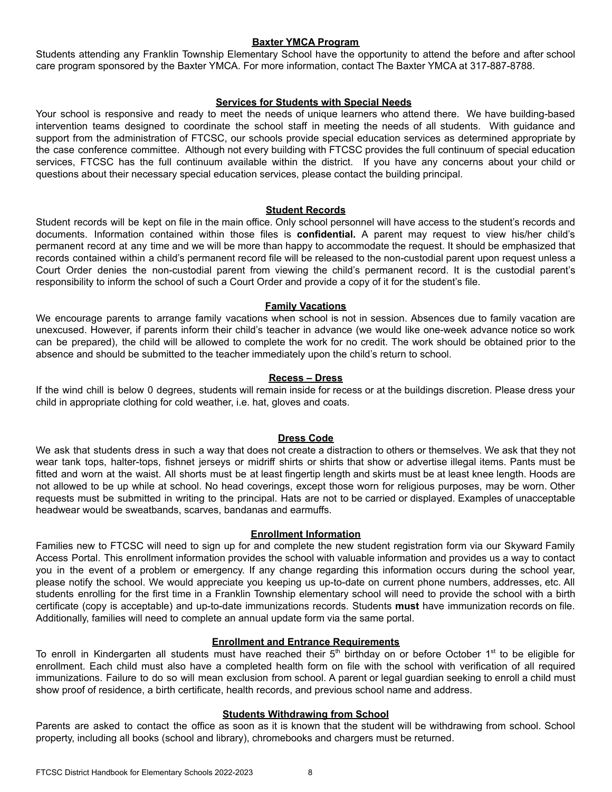#### **Baxter YMCA Program**

Students attending any Franklin Township Elementary School have the opportunity to attend the before and after school care program sponsored by the Baxter YMCA. For more information, contact The Baxter YMCA at 317-887-8788.

#### **Services for Students with Special Needs**

Your school is responsive and ready to meet the needs of unique learners who attend there. We have building-based intervention teams designed to coordinate the school staff in meeting the needs of all students. With guidance and support from the administration of FTCSC, our schools provide special education services as determined appropriate by the case conference committee. Although not every building with FTCSC provides the full continuum of special education services, FTCSC has the full continuum available within the district. If you have any concerns about your child or questions about their necessary special education services, please contact the building principal.

#### **Student Records**

Student records will be kept on file in the main office. Only school personnel will have access to the student's records and documents. Information contained within those files is **confidential.** A parent may request to view his/her child's permanent record at any time and we will be more than happy to accommodate the request. It should be emphasized that records contained within a child's permanent record file will be released to the non-custodial parent upon request unless a Court Order denies the non-custodial parent from viewing the child's permanent record. It is the custodial parent's responsibility to inform the school of such a Court Order and provide a copy of it for the student's file.

#### **Family Vacations**

We encourage parents to arrange family vacations when school is not in session. Absences due to family vacation are unexcused. However, if parents inform their child's teacher in advance (we would like one-week advance notice so work can be prepared), the child will be allowed to complete the work for no credit. The work should be obtained prior to the absence and should be submitted to the teacher immediately upon the child's return to school.

#### **Recess – Dress**

If the wind chill is below 0 degrees, students will remain inside for recess or at the buildings discretion. Please dress your child in appropriate clothing for cold weather, i.e. hat, gloves and coats.

#### **Dress Code**

We ask that students dress in such a way that does not create a distraction to others or themselves. We ask that they not wear tank tops, halter-tops, fishnet jerseys or midriff shirts or shirts that show or advertise illegal items. Pants must be fitted and worn at the waist. All shorts must be at least fingertip length and skirts must be at least knee length. Hoods are not allowed to be up while at school. No head coverings, except those worn for religious purposes, may be worn. Other requests must be submitted in writing to the principal. Hats are not to be carried or displayed. Examples of unacceptable headwear would be sweatbands, scarves, bandanas and earmuffs.

#### **Enrollment Information**

Families new to FTCSC will need to sign up for and complete the new student registration form via our Skyward Family Access Portal. This enrollment information provides the school with valuable information and provides us a way to contact you in the event of a problem or emergency. If any change regarding this information occurs during the school year, please notify the school. We would appreciate you keeping us up-to-date on current phone numbers, addresses, etc. All students enrolling for the first time in a Franklin Township elementary school will need to provide the school with a birth certificate (copy is acceptable) and up-to-date immunizations records. Students **must** have immunization records on file. Additionally, families will need to complete an annual update form via the same portal.

#### **Enrollment and Entrance Requirements**

To enroll in Kindergarten all students must have reached their  $5<sup>th</sup>$  birthday on or before October 1<sup>st</sup> to be eligible for enrollment. Each child must also have a completed health form on file with the school with verification of all required immunizations. Failure to do so will mean exclusion from school. A parent or legal guardian seeking to enroll a child must show proof of residence, a birth certificate, health records, and previous school name and address.

#### **Students Withdrawing from School**

Parents are asked to contact the office as soon as it is known that the student will be withdrawing from school. School property, including all books (school and library), chromebooks and chargers must be returned.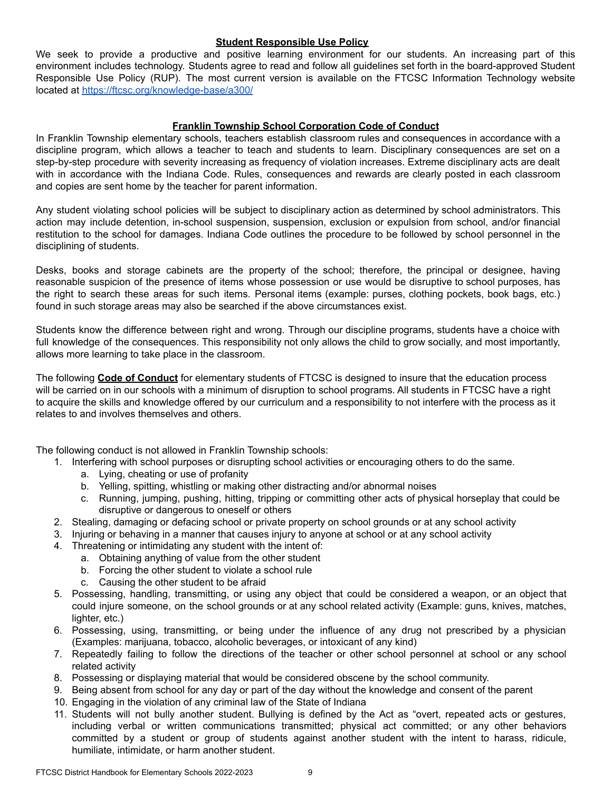#### **Student Responsible Use Policy**

We seek to provide a productive and positive learning environment for our students. An increasing part of this environment includes technology. Students agree to read and follow all guidelines set forth in the board-approved Student Responsible Use Policy (RUP). The most current version is available on the FTCSC Information Technology website located at [https://ftcsc.org/knowledge-base/a300/](https://ftcsc.org/information-technology/)

## **Franklin Township School Corporation Code of Conduct**

In Franklin Township elementary schools, teachers establish classroom rules and consequences in accordance with a discipline program, which allows a teacher to teach and students to learn. Disciplinary consequences are set on a step-by-step procedure with severity increasing as frequency of violation increases. Extreme disciplinary acts are dealt with in accordance with the Indiana Code. Rules, consequences and rewards are clearly posted in each classroom and copies are sent home by the teacher for parent information.

Any student violating school policies will be subject to disciplinary action as determined by school administrators. This action may include detention, in-school suspension, suspension, exclusion or expulsion from school, and/or financial restitution to the school for damages. Indiana Code outlines the procedure to be followed by school personnel in the disciplining of students.

Desks, books and storage cabinets are the property of the school; therefore, the principal or designee, having reasonable suspicion of the presence of items whose possession or use would be disruptive to school purposes, has the right to search these areas for such items. Personal items (example: purses, clothing pockets, book bags, etc.) found in such storage areas may also be searched if the above circumstances exist.

Students know the difference between right and wrong. Through our discipline programs, students have a choice with full knowledge of the consequences. This responsibility not only allows the child to grow socially, and most importantly, allows more learning to take place in the classroom.

The following **Code of Conduct** for elementary students of FTCSC is designed to insure that the education process will be carried on in our schools with a minimum of disruption to school programs. All students in FTCSC have a right to acquire the skills and knowledge offered by our curriculum and a responsibility to not interfere with the process as it relates to and involves themselves and others.

The following conduct is not allowed in Franklin Township schools:

- 1. Interfering with school purposes or disrupting school activities or encouraging others to do the same.
	- a. Lying, cheating or use of profanity
	- b. Yelling, spitting, whistling or making other distracting and/or abnormal noises
	- c. Running, jumping, pushing, hitting, tripping or committing other acts of physical horseplay that could be disruptive or dangerous to oneself or others
- 2. Stealing, damaging or defacing school or private property on school grounds or at any school activity
- 3. Injuring or behaving in a manner that causes injury to anyone at school or at any school activity
- 4. Threatening or intimidating any student with the intent of:
	- a. Obtaining anything of value from the other student
	- b. Forcing the other student to violate a school rule
	- c. Causing the other student to be afraid
- 5. Possessing, handling, transmitting, or using any object that could be considered a weapon, or an object that could injure someone, on the school grounds or at any school related activity (Example: guns, knives, matches, lighter, etc.)
- 6. Possessing, using, transmitting, or being under the influence of any drug not prescribed by a physician (Examples: marijuana, tobacco, alcoholic beverages, or intoxicant of any kind)
- 7. Repeatedly failing to follow the directions of the teacher or other school personnel at school or any school related activity
- 8. Possessing or displaying material that would be considered obscene by the school community.
- 9. Being absent from school for any day or part of the day without the knowledge and consent of the parent
- 10. Engaging in the violation of any criminal law of the State of Indiana
- 11. Students will not bully another student. Bullying is defined by the Act as "overt, repeated acts or gestures, including verbal or written communications transmitted; physical act committed; or any other behaviors committed by a student or group of students against another student with the intent to harass, ridicule, humiliate, intimidate, or harm another student.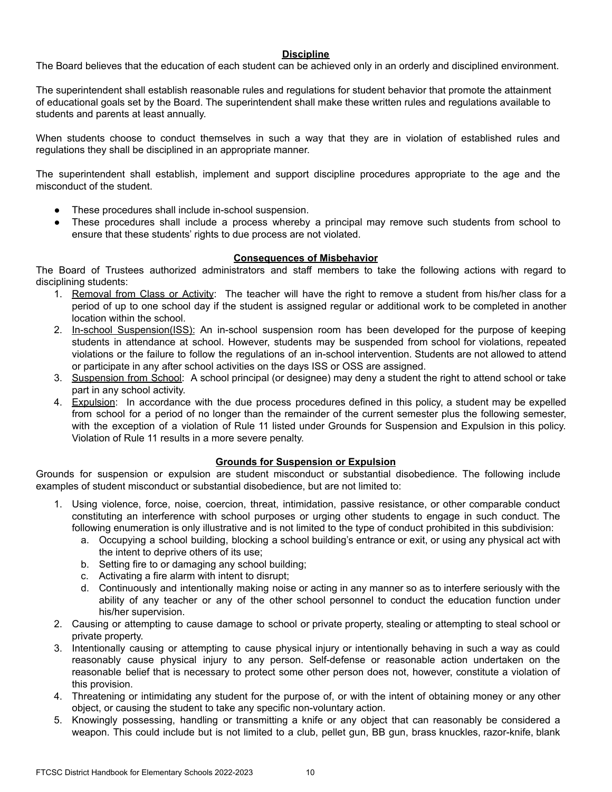## **Discipline**

The Board believes that the education of each student can be achieved only in an orderly and disciplined environment.

The superintendent shall establish reasonable rules and regulations for student behavior that promote the attainment of educational goals set by the Board. The superintendent shall make these written rules and regulations available to students and parents at least annually.

When students choose to conduct themselves in such a way that they are in violation of established rules and regulations they shall be disciplined in an appropriate manner.

The superintendent shall establish, implement and support discipline procedures appropriate to the age and the misconduct of the student.

- These procedures shall include in-school suspension.
- These procedures shall include a process whereby a principal may remove such students from school to ensure that these students' rights to due process are not violated.

#### **Consequences of Misbehavior**

The Board of Trustees authorized administrators and staff members to take the following actions with regard to disciplining students:

- 1. Removal from Class or Activity: The teacher will have the right to remove a student from his/her class for a period of up to one school day if the student is assigned regular or additional work to be completed in another location within the school.
- 2. In-school Suspension(ISS): An in-school suspension room has been developed for the purpose of keeping students in attendance at school. However, students may be suspended from school for violations, repeated violations or the failure to follow the regulations of an in-school intervention. Students are not allowed to attend or participate in any after school activities on the days ISS or OSS are assigned.
- 3. Suspension from School: A school principal (or designee) may deny a student the right to attend school or take part in any school activity.
- 4. Expulsion: In accordance with the due process procedures defined in this policy, a student may be expelled from school for a period of no longer than the remainder of the current semester plus the following semester, with the exception of a violation of Rule 11 listed under Grounds for Suspension and Expulsion in this policy. Violation of Rule 11 results in a more severe penalty.

#### **Grounds for Suspension or Expulsion**

Grounds for suspension or expulsion are student misconduct or substantial disobedience. The following include examples of student misconduct or substantial disobedience, but are not limited to:

- 1. Using violence, force, noise, coercion, threat, intimidation, passive resistance, or other comparable conduct constituting an interference with school purposes or urging other students to engage in such conduct. The following enumeration is only illustrative and is not limited to the type of conduct prohibited in this subdivision:
	- a. Occupying a school building, blocking a school building's entrance or exit, or using any physical act with the intent to deprive others of its use;
	- b. Setting fire to or damaging any school building;
	- c. Activating a fire alarm with intent to disrupt;
	- d. Continuously and intentionally making noise or acting in any manner so as to interfere seriously with the ability of any teacher or any of the other school personnel to conduct the education function under his/her supervision.
- 2. Causing or attempting to cause damage to school or private property, stealing or attempting to steal school or private property.
- 3. Intentionally causing or attempting to cause physical injury or intentionally behaving in such a way as could reasonably cause physical injury to any person. Self-defense or reasonable action undertaken on the reasonable belief that is necessary to protect some other person does not, however, constitute a violation of this provision.
- 4. Threatening or intimidating any student for the purpose of, or with the intent of obtaining money or any other object, or causing the student to take any specific non-voluntary action.
- 5. Knowingly possessing, handling or transmitting a knife or any object that can reasonably be considered a weapon. This could include but is not limited to a club, pellet gun, BB gun, brass knuckles, razor-knife, blank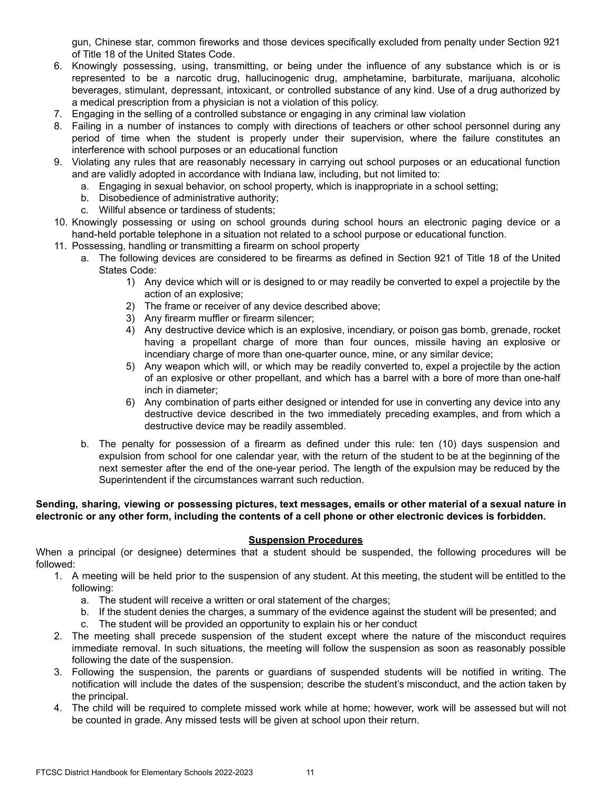gun, Chinese star, common fireworks and those devices specifically excluded from penalty under Section 921 of Title 18 of the United States Code.

- 6. Knowingly possessing, using, transmitting, or being under the influence of any substance which is or is represented to be a narcotic drug, hallucinogenic drug, amphetamine, barbiturate, marijuana, alcoholic beverages, stimulant, depressant, intoxicant, or controlled substance of any kind. Use of a drug authorized by a medical prescription from a physician is not a violation of this policy.
- 7. Engaging in the selling of a controlled substance or engaging in any criminal law violation
- 8. Failing in a number of instances to comply with directions of teachers or other school personnel during any period of time when the student is properly under their supervision, where the failure constitutes an interference with school purposes or an educational function
- 9. Violating any rules that are reasonably necessary in carrying out school purposes or an educational function and are validly adopted in accordance with Indiana law, including, but not limited to:
	- a. Engaging in sexual behavior, on school property, which is inappropriate in a school setting;
	- b. Disobedience of administrative authority;
	- c. Willful absence or tardiness of students;
- 10. Knowingly possessing or using on school grounds during school hours an electronic paging device or a hand-held portable telephone in a situation not related to a school purpose or educational function.
- 11. Possessing, handling or transmitting a firearm on school property
	- a. The following devices are considered to be firearms as defined in Section 921 of Title 18 of the United States Code:
		- 1) Any device which will or is designed to or may readily be converted to expel a projectile by the action of an explosive;
		- 2) The frame or receiver of any device described above;
		- 3) Any firearm muffler or firearm silencer;
		- 4) Any destructive device which is an explosive, incendiary, or poison gas bomb, grenade, rocket having a propellant charge of more than four ounces, missile having an explosive or incendiary charge of more than one-quarter ounce, mine, or any similar device;
		- 5) Any weapon which will, or which may be readily converted to, expel a projectile by the action of an explosive or other propellant, and which has a barrel with a bore of more than one-half inch in diameter;
		- 6) Any combination of parts either designed or intended for use in converting any device into any destructive device described in the two immediately preceding examples, and from which a destructive device may be readily assembled.
	- b. The penalty for possession of a firearm as defined under this rule: ten (10) days suspension and expulsion from school for one calendar year, with the return of the student to be at the beginning of the next semester after the end of the one-year period. The length of the expulsion may be reduced by the Superintendent if the circumstances warrant such reduction.

#### Sending, sharing, viewing or possessing pictures, text messages, emails or other material of a sexual nature in electronic or any other form, including the contents of a cell phone or other electronic devices is forbidden.

#### **Suspension Procedures**

When a principal (or designee) determines that a student should be suspended, the following procedures will be followed:

- 1. A meeting will be held prior to the suspension of any student. At this meeting, the student will be entitled to the following:
	- a. The student will receive a written or oral statement of the charges;
	- b. If the student denies the charges, a summary of the evidence against the student will be presented; and
	- c. The student will be provided an opportunity to explain his or her conduct
- 2. The meeting shall precede suspension of the student except where the nature of the misconduct requires immediate removal. In such situations, the meeting will follow the suspension as soon as reasonably possible following the date of the suspension.
- 3. Following the suspension, the parents or guardians of suspended students will be notified in writing. The notification will include the dates of the suspension; describe the student's misconduct, and the action taken by the principal.
- 4. The child will be required to complete missed work while at home; however, work will be assessed but will not be counted in grade. Any missed tests will be given at school upon their return.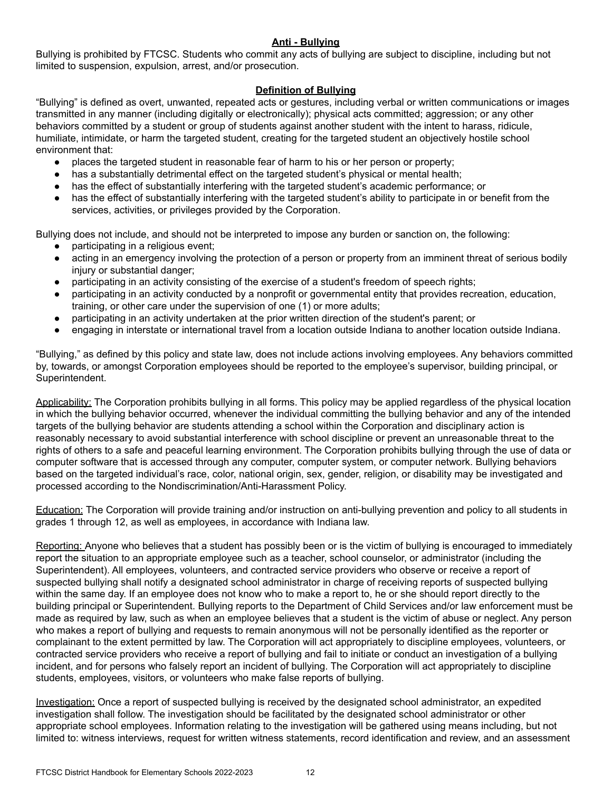## **Anti - Bullying**

Bullying is prohibited by FTCSC. Students who commit any acts of bullying are subject to discipline, including but not limited to suspension, expulsion, arrest, and/or prosecution.

## **Definition of Bullying**

"Bullying" is defined as overt, unwanted, repeated acts or gestures, including verbal or written communications or images transmitted in any manner (including digitally or electronically); physical acts committed; aggression; or any other behaviors committed by a student or group of students against another student with the intent to harass, ridicule, humiliate, intimidate, or harm the targeted student, creating for the targeted student an objectively hostile school environment that:

- places the targeted student in reasonable fear of harm to his or her person or property;
- has a substantially detrimental effect on the targeted student's physical or mental health;
- has the effect of substantially interfering with the targeted student's academic performance; or
- has the effect of substantially interfering with the targeted student's ability to participate in or benefit from the services, activities, or privileges provided by the Corporation.

Bullying does not include, and should not be interpreted to impose any burden or sanction on, the following:

- participating in a religious event;
- acting in an emergency involving the protection of a person or property from an imminent threat of serious bodily injury or substantial danger;
- participating in an activity consisting of the exercise of a student's freedom of speech rights;
- participating in an activity conducted by a nonprofit or governmental entity that provides recreation, education, training, or other care under the supervision of one (1) or more adults;
- participating in an activity undertaken at the prior written direction of the student's parent; or
- engaging in interstate or international travel from a location outside Indiana to another location outside Indiana.

"Bullying," as defined by this policy and state law, does not include actions involving employees. Any behaviors committed by, towards, or amongst Corporation employees should be reported to the employee's supervisor, building principal, or Superintendent.

Applicability: The Corporation prohibits bullying in all forms. This policy may be applied regardless of the physical location in which the bullying behavior occurred, whenever the individual committing the bullying behavior and any of the intended targets of the bullying behavior are students attending a school within the Corporation and disciplinary action is reasonably necessary to avoid substantial interference with school discipline or prevent an unreasonable threat to the rights of others to a safe and peaceful learning environment. The Corporation prohibits bullying through the use of data or computer software that is accessed through any computer, computer system, or computer network. Bullying behaviors based on the targeted individual's race, color, national origin, sex, gender, religion, or disability may be investigated and processed according to the Nondiscrimination/Anti-Harassment Policy.

Education: The Corporation will provide training and/or instruction on anti-bullying prevention and policy to all students in grades 1 through 12, as well as employees, in accordance with Indiana law.

Reporting: Anyone who believes that a student has possibly been or is the victim of bullying is encouraged to immediately report the situation to an appropriate employee such as a teacher, school counselor, or administrator (including the Superintendent). All employees, volunteers, and contracted service providers who observe or receive a report of suspected bullying shall notify a designated school administrator in charge of receiving reports of suspected bullying within the same day. If an employee does not know who to make a report to, he or she should report directly to the building principal or Superintendent. Bullying reports to the Department of Child Services and/or law enforcement must be made as required by law, such as when an employee believes that a student is the victim of abuse or neglect. Any person who makes a report of bullying and requests to remain anonymous will not be personally identified as the reporter or complainant to the extent permitted by law. The Corporation will act appropriately to discipline employees, volunteers, or contracted service providers who receive a report of bullying and fail to initiate or conduct an investigation of a bullying incident, and for persons who falsely report an incident of bullying. The Corporation will act appropriately to discipline students, employees, visitors, or volunteers who make false reports of bullying.

Investigation: Once a report of suspected bullying is received by the designated school administrator, an expedited investigation shall follow. The investigation should be facilitated by the designated school administrator or other appropriate school employees. Information relating to the investigation will be gathered using means including, but not limited to: witness interviews, request for written witness statements, record identification and review, and an assessment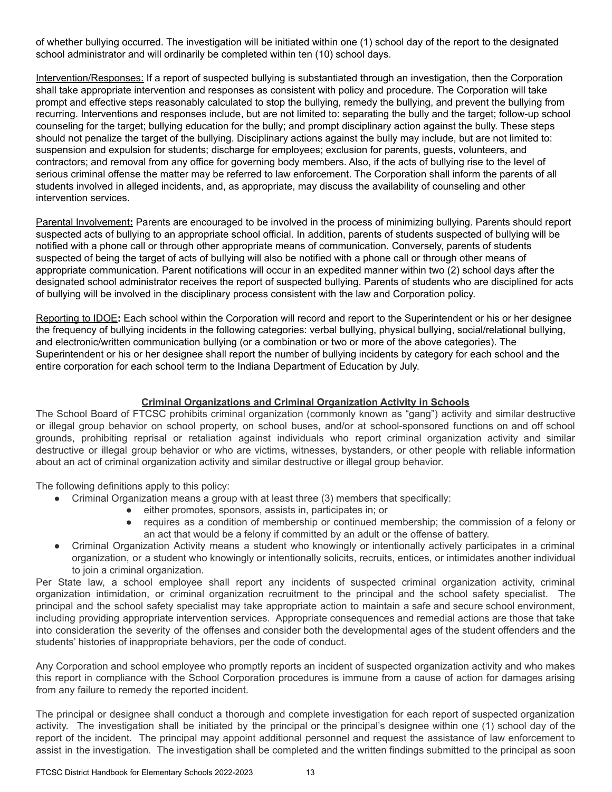of whether bullying occurred. The investigation will be initiated within one (1) school day of the report to the designated school administrator and will ordinarily be completed within ten (10) school days.

Intervention/Responses: If a report of suspected bullying is substantiated through an investigation, then the Corporation shall take appropriate intervention and responses as consistent with policy and procedure. The Corporation will take prompt and effective steps reasonably calculated to stop the bullying, remedy the bullying, and prevent the bullying from recurring. Interventions and responses include, but are not limited to: separating the bully and the target; follow-up school counseling for the target; bullying education for the bully; and prompt disciplinary action against the bully. These steps should not penalize the target of the bullying. Disciplinary actions against the bully may include, but are not limited to: suspension and expulsion for students; discharge for employees; exclusion for parents, guests, volunteers, and contractors; and removal from any office for governing body members. Also, if the acts of bullying rise to the level of serious criminal offense the matter may be referred to law enforcement. The Corporation shall inform the parents of all students involved in alleged incidents, and, as appropriate, may discuss the availability of counseling and other intervention services.

Parental Involvement**:** Parents are encouraged to be involved in the process of minimizing bullying. Parents should report suspected acts of bullying to an appropriate school official. In addition, parents of students suspected of bullying will be notified with a phone call or through other appropriate means of communication. Conversely, parents of students suspected of being the target of acts of bullying will also be notified with a phone call or through other means of appropriate communication. Parent notifications will occur in an expedited manner within two (2) school days after the designated school administrator receives the report of suspected bullying. Parents of students who are disciplined for acts of bullying will be involved in the disciplinary process consistent with the law and Corporation policy.

Reporting to IDOE**:** Each school within the Corporation will record and report to the Superintendent or his or her designee the frequency of bullying incidents in the following categories: verbal bullying, physical bullying, social/relational bullying, and electronic/written communication bullying (or a combination or two or more of the above categories). The Superintendent or his or her designee shall report the number of bullying incidents by category for each school and the entire corporation for each school term to the Indiana Department of Education by July.

## **Criminal Organizations and Criminal Organization Activity in Schools**

The School Board of FTCSC prohibits criminal organization (commonly known as "gang") activity and similar destructive or illegal group behavior on school property, on school buses, and/or at school-sponsored functions on and off school grounds, prohibiting reprisal or retaliation against individuals who report criminal organization activity and similar destructive or illegal group behavior or who are victims, witnesses, bystanders, or other people with reliable information about an act of criminal organization activity and similar destructive or illegal group behavior.

The following definitions apply to this policy:

- Criminal Organization means a group with at least three (3) members that specifically:
	- either promotes, sponsors, assists in, participates in; or
	- requires as a condition of membership or continued membership; the commission of a felony or an act that would be a felony if committed by an adult or the offense of battery.
- Criminal Organization Activity means a student who knowingly or intentionally actively participates in a criminal organization, or a student who knowingly or intentionally solicits, recruits, entices, or intimidates another individual to join a criminal organization.

Per State law, a school employee shall report any incidents of suspected criminal organization activity, criminal organization intimidation, or criminal organization recruitment to the principal and the school safety specialist. The principal and the school safety specialist may take appropriate action to maintain a safe and secure school environment, including providing appropriate intervention services. Appropriate consequences and remedial actions are those that take into consideration the severity of the offenses and consider both the developmental ages of the student offenders and the students' histories of inappropriate behaviors, per the code of conduct.

Any Corporation and school employee who promptly reports an incident of suspected organization activity and who makes this report in compliance with the School Corporation procedures is immune from a cause of action for damages arising from any failure to remedy the reported incident.

The principal or designee shall conduct a thorough and complete investigation for each report of suspected organization activity. The investigation shall be initiated by the principal or the principal's designee within one (1) school day of the report of the incident. The principal may appoint additional personnel and request the assistance of law enforcement to assist in the investigation. The investigation shall be completed and the written findings submitted to the principal as soon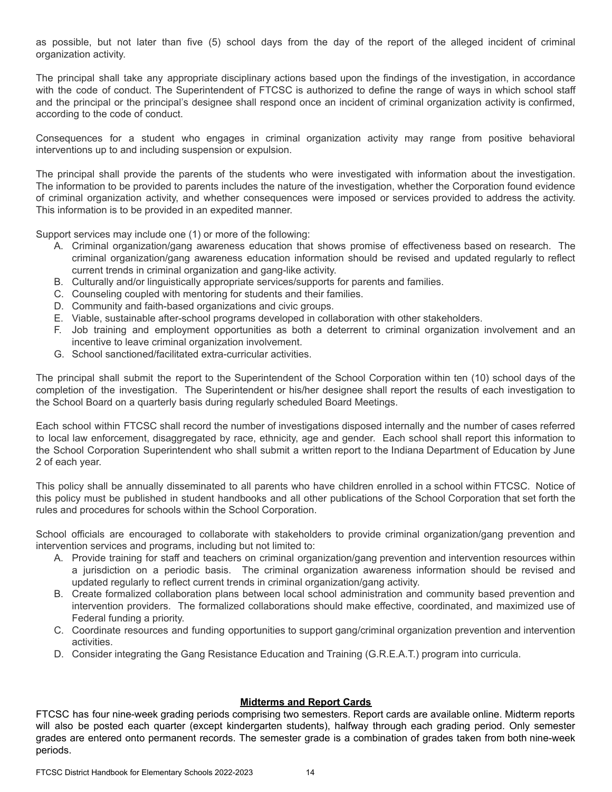as possible, but not later than five (5) school days from the day of the report of the alleged incident of criminal organization activity.

The principal shall take any appropriate disciplinary actions based upon the findings of the investigation, in accordance with the code of conduct. The Superintendent of FTCSC is authorized to define the range of ways in which school staff and the principal or the principal's designee shall respond once an incident of criminal organization activity is confirmed, according to the code of conduct.

Consequences for a student who engages in criminal organization activity may range from positive behavioral interventions up to and including suspension or expulsion.

The principal shall provide the parents of the students who were investigated with information about the investigation. The information to be provided to parents includes the nature of the investigation, whether the Corporation found evidence of criminal organization activity, and whether consequences were imposed or services provided to address the activity. This information is to be provided in an expedited manner.

Support services may include one (1) or more of the following:

- A. Criminal organization/gang awareness education that shows promise of effectiveness based on research. The criminal organization/gang awareness education information should be revised and updated regularly to reflect current trends in criminal organization and gang-like activity.
- B. Culturally and/or linguistically appropriate services/supports for parents and families.
- C. Counseling coupled with mentoring for students and their families.
- D. Community and faith-based organizations and civic groups.
- E. Viable, sustainable after-school programs developed in collaboration with other stakeholders.
- F. Job training and employment opportunities as both a deterrent to criminal organization involvement and an incentive to leave criminal organization involvement.
- G. School sanctioned/facilitated extra-curricular activities.

The principal shall submit the report to the Superintendent of the School Corporation within ten (10) school days of the completion of the investigation. The Superintendent or his/her designee shall report the results of each investigation to the School Board on a quarterly basis during regularly scheduled Board Meetings.

Each school within FTCSC shall record the number of investigations disposed internally and the number of cases referred to local law enforcement, disaggregated by race, ethnicity, age and gender. Each school shall report this information to the School Corporation Superintendent who shall submit a written report to the Indiana Department of Education by June 2 of each year.

This policy shall be annually disseminated to all parents who have children enrolled in a school within FTCSC. Notice of this policy must be published in student handbooks and all other publications of the School Corporation that set forth the rules and procedures for schools within the School Corporation.

School officials are encouraged to collaborate with stakeholders to provide criminal organization/gang prevention and intervention services and programs, including but not limited to:

- A. Provide training for staff and teachers on criminal organization/gang prevention and intervention resources within a jurisdiction on a periodic basis. The criminal organization awareness information should be revised and updated regularly to reflect current trends in criminal organization/gang activity.
- B. Create formalized collaboration plans between local school administration and community based prevention and intervention providers. The formalized collaborations should make effective, coordinated, and maximized use of Federal funding a priority.
- C. Coordinate resources and funding opportunities to support gang/criminal organization prevention and intervention activities.
- D. Consider integrating the Gang Resistance Education and Training (G.R.E.A.T.) program into curricula.

## **Midterms and Report Cards**

FTCSC has four nine-week grading periods comprising two semesters. Report cards are available online. Midterm reports will also be posted each quarter (except kindergarten students), halfway through each grading period. Only semester grades are entered onto permanent records. The semester grade is a combination of grades taken from both nine-week periods.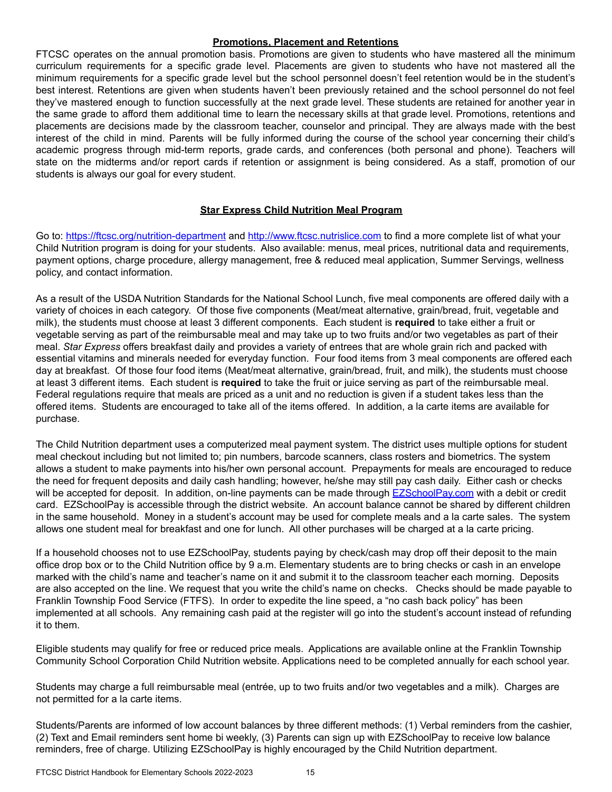#### **Promotions, Placement and Retentions**

FTCSC operates on the annual promotion basis. Promotions are given to students who have mastered all the minimum curriculum requirements for a specific grade level. Placements are given to students who have not mastered all the minimum requirements for a specific grade level but the school personnel doesn't feel retention would be in the student's best interest. Retentions are given when students haven't been previously retained and the school personnel do not feel they've mastered enough to function successfully at the next grade level. These students are retained for another year in the same grade to afford them additional time to learn the necessary skills at that grade level. Promotions, retentions and placements are decisions made by the classroom teacher, counselor and principal. They are always made with the best interest of the child in mind. Parents will be fully informed during the course of the school year concerning their child's academic progress through mid-term reports, grade cards, and conferences (both personal and phone). Teachers will state on the midterms and/or report cards if retention or assignment is being considered. As a staff, promotion of our students is always our goal for every student.

## **Star Express Child Nutrition Meal Program**

Go to: [https://ftcsc.org/nutrition-department](https://ftcsc.org/nutrition-department%20) and <http://www.ftcsc.nutrislice.com> to find a more complete list of what your Child Nutrition program is doing for your students. Also available: menus, meal prices, nutritional data and requirements, payment options, charge procedure, allergy management, free & reduced meal application, Summer Servings, wellness policy, and contact information.

As a result of the USDA Nutrition Standards for the National School Lunch, five meal components are offered daily with a variety of choices in each category. Of those five components (Meat/meat alternative, grain/bread, fruit, vegetable and milk), the students must choose at least 3 different components. Each student is **required** to take either a fruit or vegetable serving as part of the reimbursable meal and may take up to two fruits and/or two vegetables as part of their meal. *Star Express* offers breakfast daily and provides a variety of entrees that are whole grain rich and packed with essential vitamins and minerals needed for everyday function. Four food items from 3 meal components are offered each day at breakfast. Of those four food items (Meat/meat alternative, grain/bread, fruit, and milk), the students must choose at least 3 different items. Each student is **required** to take the fruit or juice serving as part of the reimbursable meal. Federal regulations require that meals are priced as a unit and no reduction is given if a student takes less than the offered items. Students are encouraged to take all of the items offered. In addition, a la carte items are available for purchase.

The Child Nutrition department uses a computerized meal payment system. The district uses multiple options for student meal checkout including but not limited to; pin numbers, barcode scanners, class rosters and biometrics. The system allows a student to make payments into his/her own personal account. Prepayments for meals are encouraged to reduce the need for frequent deposits and daily cash handling; however, he/she may still pay cash daily. Either cash or checks will be accepted for deposit. In addition, on-line payments can be made through [EZSchoolPay.com](http://www.ezschoolpay.com) with a debit or credit card. EZSchoolPay is accessible through the district website. An account balance cannot be shared by different children in the same household. Money in a student's account may be used for complete meals and a la carte sales. The system allows one student meal for breakfast and one for lunch. All other purchases will be charged at a la carte pricing.

If a household chooses not to use EZSchoolPay, students paying by check/cash may drop off their deposit to the main office drop box or to the Child Nutrition office by 9 a.m. Elementary students are to bring checks or cash in an envelope marked with the child's name and teacher's name on it and submit it to the classroom teacher each morning. Deposits are also accepted on the line. We request that you write the child's name on checks. Checks should be made payable to Franklin Township Food Service (FTFS). In order to expedite the line speed, a "no cash back policy" has been implemented at all schools. Any remaining cash paid at the register will go into the student's account instead of refunding it to them.

Eligible students may qualify for free or reduced price meals. Applications are available online at the Franklin Township Community School Corporation Child Nutrition website. Applications need to be completed annually for each school year.

Students may charge a full reimbursable meal (entrée, up to two fruits and/or two vegetables and a milk). Charges are not permitted for a la carte items.

Students/Parents are informed of low account balances by three different methods: (1) Verbal reminders from the cashier, (2) Text and Email reminders sent home bi weekly, (3) Parents can sign up with EZSchoolPay to receive low balance reminders, free of charge. Utilizing EZSchoolPay is highly encouraged by the Child Nutrition department.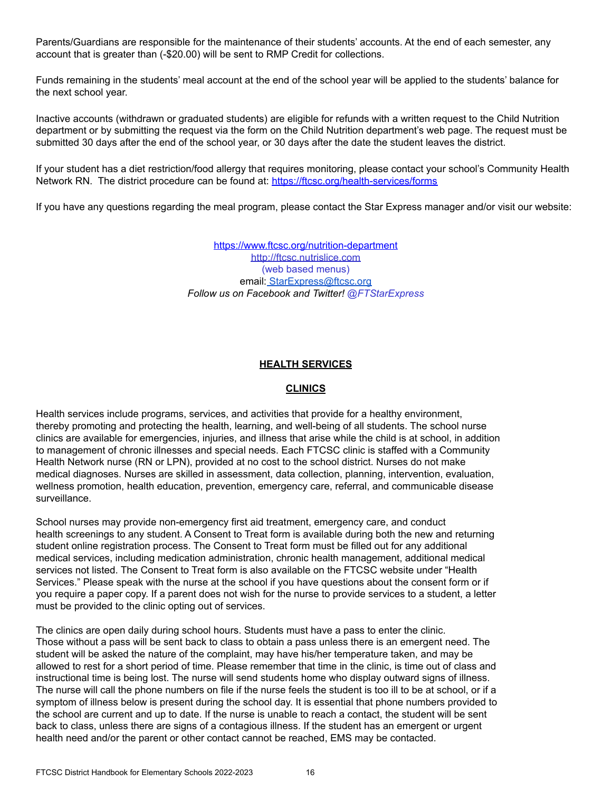Parents/Guardians are responsible for the maintenance of their students' accounts. At the end of each semester, any account that is greater than (-\$20.00) will be sent to RMP Credit for collections.

Funds remaining in the students' meal account at the end of the school year will be applied to the students' balance for the next school year.

Inactive accounts (withdrawn or graduated students) are eligible for refunds with a written request to the Child Nutrition department or by submitting the request via the form on the Child Nutrition department's web page. The request must be submitted 30 days after the end of the school year, or 30 days after the date the student leaves the district.

If your student has a diet restriction/food allergy that requires monitoring, please contact your school's Community Health Network RN. The district procedure can be found at: <https://ftcsc.org/health-services/forms>

If you have any questions regarding the meal program, please contact the Star Express manager and/or visit our website:

<https://www.ftcsc.org/nutrition-department> <http://ftcsc.nutrislice.com> (web based menus) email: [StarExpress@ftcsc.org](mailto:StarExpress@ftcsc.org) *Follow us on Facebook and Twitter! @FTStarExpress*

#### **HEALTH SERVICES**

## **CLINICS**

Health services include programs, services, and activities that provide for a healthy environment, thereby promoting and protecting the health, learning, and well-being of all students. The school nurse clinics are available for emergencies, injuries, and illness that arise while the child is at school, in addition to management of chronic illnesses and special needs. Each FTCSC clinic is staffed with a Community Health Network nurse (RN or LPN), provided at no cost to the school district. Nurses do not make medical diagnoses. Nurses are skilled in assessment, data collection, planning, intervention, evaluation, wellness promotion, health education, prevention, emergency care, referral, and communicable disease surveillance.

School nurses may provide non-emergency first aid treatment, emergency care, and conduct health screenings to any student. A Consent to Treat form is available during both the new and returning student online registration process. The Consent to Treat form must be filled out for any additional medical services, including medication administration, chronic health management, additional medical services not listed. The Consent to Treat form is also available on the FTCSC website under "Health Services." Please speak with the nurse at the school if you have questions about the consent form or if you require a paper copy. If a parent does not wish for the nurse to provide services to a student, a letter must be provided to the clinic opting out of services.

The clinics are open daily during school hours. Students must have a pass to enter the clinic. Those without a pass will be sent back to class to obtain a pass unless there is an emergent need. The student will be asked the nature of the complaint, may have his/her temperature taken, and may be allowed to rest for a short period of time. Please remember that time in the clinic, is time out of class and instructional time is being lost. The nurse will send students home who display outward signs of illness. The nurse will call the phone numbers on file if the nurse feels the student is too ill to be at school, or if a symptom of illness below is present during the school day. It is essential that phone numbers provided to the school are current and up to date. If the nurse is unable to reach a contact, the student will be sent back to class, unless there are signs of a contagious illness. If the student has an emergent or urgent health need and/or the parent or other contact cannot be reached, EMS may be contacted.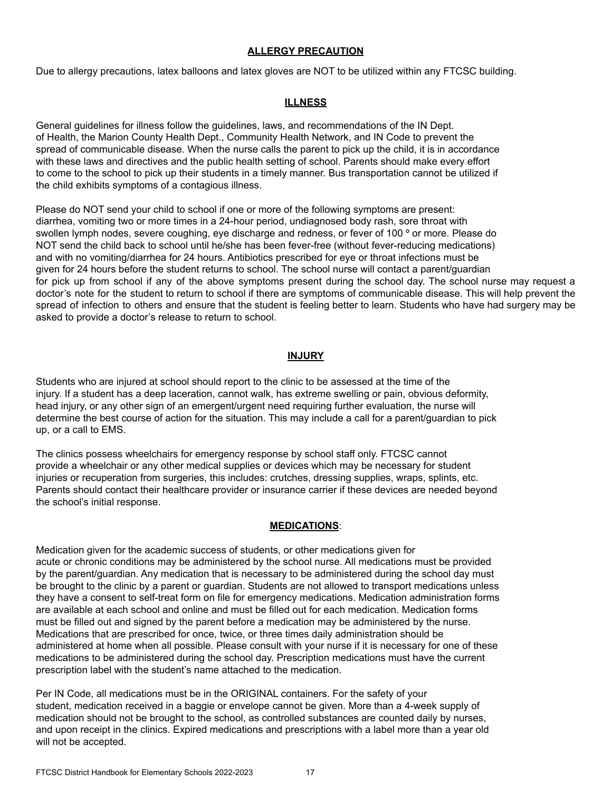#### **ALLERGY PRECAUTION**

Due to allergy precautions, latex balloons and latex gloves are NOT to be utilized within any FTCSC building.

## **ILLNESS**

General guidelines for illness follow the guidelines, laws, and recommendations of the IN Dept. of Health, the Marion County Health Dept., Community Health Network, and IN Code to prevent the spread of communicable disease. When the nurse calls the parent to pick up the child, it is in accordance with these laws and directives and the public health setting of school. Parents should make every effort to come to the school to pick up their students in a timely manner. Bus transportation cannot be utilized if the child exhibits symptoms of a contagious illness.

Please do NOT send your child to school if one or more of the following symptoms are present: diarrhea, vomiting two or more times in a 24-hour period, undiagnosed body rash, sore throat with swollen lymph nodes, severe coughing, eye discharge and redness, or fever of 100 ° or more. Please do NOT send the child back to school until he/she has been fever-free (without fever-reducing medications) and with no vomiting/diarrhea for 24 hours. Antibiotics prescribed for eye or throat infections must be given for 24 hours before the student returns to school. The school nurse will contact a parent/guardian for pick up from school if any of the above symptoms present during the school day. The school nurse may request a doctor's note for the student to return to school if there are symptoms of communicable disease. This will help prevent the spread of infection to others and ensure that the student is feeling better to learn. Students who have had surgery may be asked to provide a doctor's release to return to school.

#### **INJURY**

Students who are injured at school should report to the clinic to be assessed at the time of the injury. If a student has a deep laceration, cannot walk, has extreme swelling or pain, obvious deformity, head injury, or any other sign of an emergent/urgent need requiring further evaluation, the nurse will determine the best course of action for the situation. This may include a call for a parent/guardian to pick up, or a call to EMS.

The clinics possess wheelchairs for emergency response by school staff only. FTCSC cannot provide a wheelchair or any other medical supplies or devices which may be necessary for student injuries or recuperation from surgeries, this includes: crutches, dressing supplies, wraps, splints, etc. Parents should contact their healthcare provider or insurance carrier if these devices are needed beyond the school's initial response.

#### **MEDICATIONS**:

Medication given for the academic success of students, or other medications given for acute or chronic conditions may be administered by the school nurse. All medications must be provided by the parent/guardian. Any medication that is necessary to be administered during the school day must be brought to the clinic by a parent or guardian. Students are not allowed to transport medications unless they have a consent to self-treat form on file for emergency medications. Medication administration forms are available at each school and online and must be filled out for each medication. Medication forms must be filled out and signed by the parent before a medication may be administered by the nurse. Medications that are prescribed for once, twice, or three times daily administration should be administered at home when all possible. Please consult with your nurse if it is necessary for one of these medications to be administered during the school day. Prescription medications must have the current prescription label with the student's name attached to the medication.

Per IN Code, all medications must be in the ORIGINAL containers. For the safety of your student, medication received in a baggie or envelope cannot be given. More than a 4-week supply of medication should not be brought to the school, as controlled substances are counted daily by nurses, and upon receipt in the clinics. Expired medications and prescriptions with a label more than a year old will not be accepted.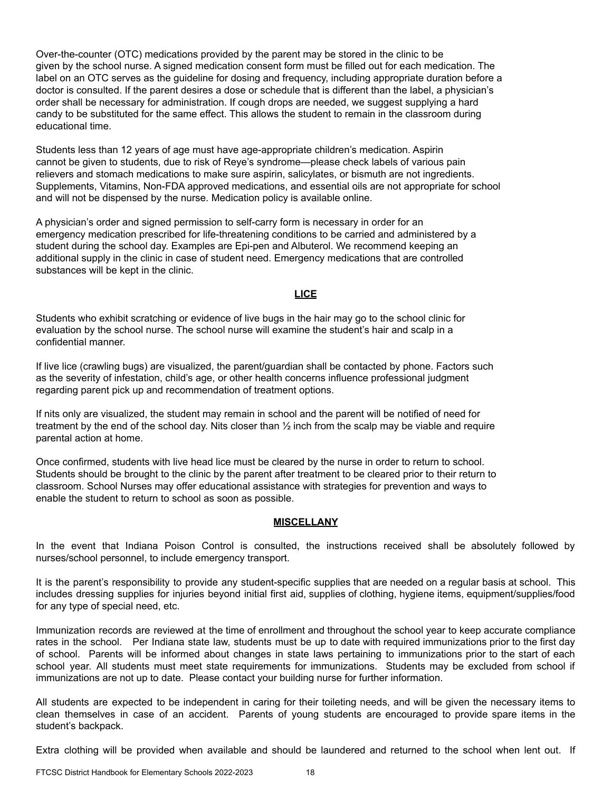Over-the-counter (OTC) medications provided by the parent may be stored in the clinic to be given by the school nurse. A signed medication consent form must be filled out for each medication. The label on an OTC serves as the guideline for dosing and frequency, including appropriate duration before a doctor is consulted. If the parent desires a dose or schedule that is different than the label, a physician's order shall be necessary for administration. If cough drops are needed, we suggest supplying a hard candy to be substituted for the same effect. This allows the student to remain in the classroom during educational time.

Students less than 12 years of age must have age-appropriate children's medication. Aspirin cannot be given to students, due to risk of Reye's syndrome—please check labels of various pain relievers and stomach medications to make sure aspirin, salicylates, or bismuth are not ingredients. Supplements, Vitamins, Non-FDA approved medications, and essential oils are not appropriate for school and will not be dispensed by the nurse. Medication policy is available online.

A physician's order and signed permission to self-carry form is necessary in order for an emergency medication prescribed for life-threatening conditions to be carried and administered by a student during the school day. Examples are Epi-pen and Albuterol. We recommend keeping an additional supply in the clinic in case of student need. Emergency medications that are controlled substances will be kept in the clinic.

#### **LICE**

Students who exhibit scratching or evidence of live bugs in the hair may go to the school clinic for evaluation by the school nurse. The school nurse will examine the student's hair and scalp in a confidential manner.

If live lice (crawling bugs) are visualized, the parent/guardian shall be contacted by phone. Factors such as the severity of infestation, child's age, or other health concerns influence professional judgment regarding parent pick up and recommendation of treatment options.

If nits only are visualized, the student may remain in school and the parent will be notified of need for treatment by the end of the school day. Nits closer than ½ inch from the scalp may be viable and require parental action at home.

Once confirmed, students with live head lice must be cleared by the nurse in order to return to school. Students should be brought to the clinic by the parent after treatment to be cleared prior to their return to classroom. School Nurses may offer educational assistance with strategies for prevention and ways to enable the student to return to school as soon as possible.

#### **MISCELLANY**

In the event that Indiana Poison Control is consulted, the instructions received shall be absolutely followed by nurses/school personnel, to include emergency transport.

It is the parent's responsibility to provide any student-specific supplies that are needed on a regular basis at school. This includes dressing supplies for injuries beyond initial first aid, supplies of clothing, hygiene items, equipment/supplies/food for any type of special need, etc.

Immunization records are reviewed at the time of enrollment and throughout the school year to keep accurate compliance rates in the school. Per Indiana state law, students must be up to date with required immunizations prior to the first day of school. Parents will be informed about changes in state laws pertaining to immunizations prior to the start of each school year. All students must meet state requirements for immunizations. Students may be excluded from school if immunizations are not up to date. Please contact your building nurse for further information.

All students are expected to be independent in caring for their toileting needs, and will be given the necessary items to clean themselves in case of an accident. Parents of young students are encouraged to provide spare items in the student's backpack.

Extra clothing will be provided when available and should be laundered and returned to the school when lent out. If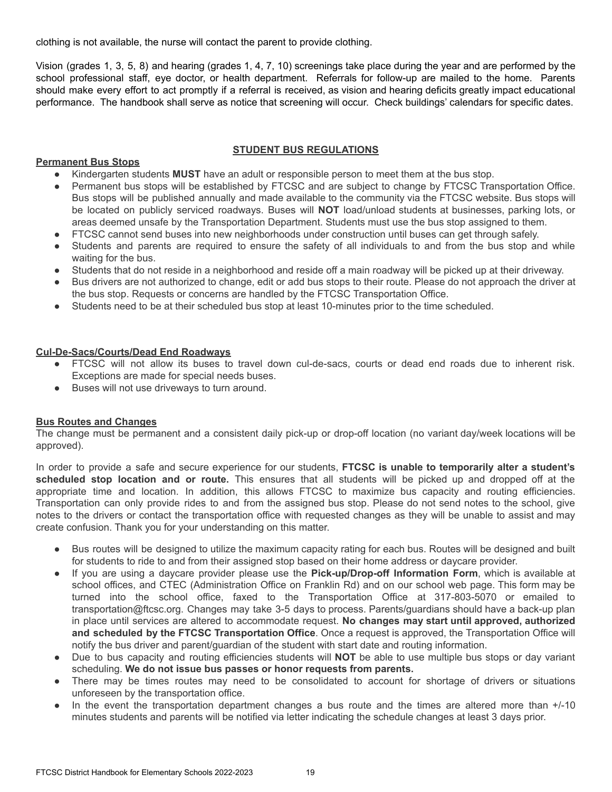clothing is not available, the nurse will contact the parent to provide clothing.

Vision (grades 1, 3, 5, 8) and hearing (grades 1, 4, 7, 10) screenings take place during the year and are performed by the school professional staff, eye doctor, or health department. Referrals for follow-up are mailed to the home. Parents should make every effort to act promptly if a referral is received, as vision and hearing deficits greatly impact educational performance. The handbook shall serve as notice that screening will occur. Check buildings' calendars for specific dates.

#### **STUDENT BUS REGULATIONS**

#### **Permanent Bus Stops**

- Kindergarten students **MUST** have an adult or responsible person to meet them at the bus stop.
- Permanent bus stops will be established by FTCSC and are subject to change by FTCSC Transportation Office. Bus stops will be published annually and made available to the community via the FTCSC website. Bus stops will be located on publicly serviced roadways. Buses will **NOT** load/unload students at businesses, parking lots, or areas deemed unsafe by the Transportation Department. Students must use the bus stop assigned to them.
- FTCSC cannot send buses into new neighborhoods under construction until buses can get through safely.
- Students and parents are required to ensure the safety of all individuals to and from the bus stop and while waiting for the bus.
- Students that do not reside in a neighborhood and reside off a main roadway will be picked up at their driveway.
- Bus drivers are not authorized to change, edit or add bus stops to their route. Please do not approach the driver at the bus stop. Requests or concerns are handled by the FTCSC Transportation Office.
- Students need to be at their scheduled bus stop at least 10-minutes prior to the time scheduled.

## **Cul-De-Sacs/Courts/Dead End Roadways**

- FTCSC will not allow its buses to travel down cul-de-sacs, courts or dead end roads due to inherent risk. Exceptions are made for special needs buses.
- Buses will not use driveways to turn around.

#### **Bus Routes and Changes**

The change must be permanent and a consistent daily pick-up or drop-off location (no variant day/week locations will be approved).

In order to provide a safe and secure experience for our students, **FTCSC is unable to temporarily alter a student's scheduled stop location and or route.** This ensures that all students will be picked up and dropped off at the appropriate time and location. In addition, this allows FTCSC to maximize bus capacity and routing efficiencies. Transportation can only provide rides to and from the assigned bus stop. Please do not send notes to the school, give notes to the drivers or contact the transportation office with requested changes as they will be unable to assist and may create confusion. Thank you for your understanding on this matter.

- Bus routes will be designed to utilize the maximum capacity rating for each bus. Routes will be designed and built for students to ride to and from their assigned stop based on their home address or daycare provider.
- If you are using a daycare provider please use the **Pick-up/Drop-off Information Form**, which is available at school offices, and CTEC (Administration Office on Franklin Rd) and on our school web page. This form may be turned into the school office, faxed to the Transportation Office at 317-803-5070 or emailed to transportation@ftcsc.org. Changes may take 3-5 days to process. Parents/guardians should have a back-up plan in place until services are altered to accommodate request. **No changes may start until approved, authorized and scheduled by the FTCSC Transportation Office**. Once a request is approved, the Transportation Office will notify the bus driver and parent/guardian of the student with start date and routing information.
- Due to bus capacity and routing efficiencies students will **NOT** be able to use multiple bus stops or day variant scheduling. **We do not issue bus passes or honor requests from parents.**
- There may be times routes may need to be consolidated to account for shortage of drivers or situations unforeseen by the transportation office.
- In the event the transportation department changes a bus route and the times are altered more than  $+/-10$ minutes students and parents will be notified via letter indicating the schedule changes at least 3 days prior.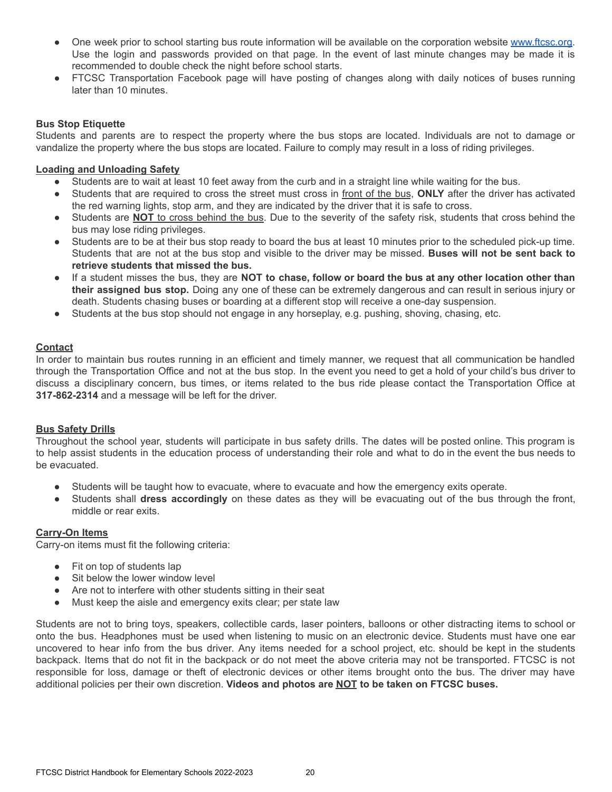- On[e](http://www.ftcsc.k12.in.us/) week prior to school starting bus route information will be available on the corporation website [www.ftcsc.org.](http://www.ftcsc.org) Use the login and passwords provided on that page. In the event of last minute changes may be made it is recommended to double check the night before school starts.
- FTCSC Transportation Facebook page will have posting of changes along with daily notices of buses running later than 10 minutes.

#### **Bus Stop Etiquette**

Students and parents are to respect the property where the bus stops are located. Individuals are not to damage or vandalize the property where the bus stops are located. Failure to comply may result in a loss of riding privileges.

#### **Loading and Unloading Safety**

- Students are to wait at least 10 feet away from the curb and in a straight line while waiting for the bus.
- Students that are required to cross the street must cross in front of the bus, **ONLY** after the driver has activated the red warning lights, stop arm, and they are indicated by the driver that it is safe to cross.
- Students are **NOT** to cross behind the bus. Due to the severity of the safety risk, students that cross behind the bus may lose riding privileges.
- Students are to be at their bus stop ready to board the bus at least 10 minutes prior to the scheduled pick-up time. Students that are not at the bus stop and visible to the driver may be missed. **Buses will not be sent back to retrieve students that missed the bus.**
- If a student misses the bus, they are **NOT to chase, follow or board the bus at any other location other than their assigned bus stop.** Doing any one of these can be extremely dangerous and can result in serious injury or death. Students chasing buses or boarding at a different stop will receive a one-day suspension.
- Students at the bus stop should not engage in any horseplay, e.g. pushing, shoving, chasing, etc.

#### **Contact**

In order to maintain bus routes running in an efficient and timely manner, we request that all communication be handled through the Transportation Office and not at the bus stop. In the event you need to get a hold of your child's bus driver to discuss a disciplinary concern, bus times, or items related to the bus ride please contact the Transportation Office at **317-862-2314** and a message will be left for the driver.

#### **Bus Safety Drills**

Throughout the school year, students will participate in bus safety drills. The dates will be posted online. This program is to help assist students in the education process of understanding their role and what to do in the event the bus needs to be evacuated.

- Students will be taught how to evacuate, where to evacuate and how the emergency exits operate.
- Students shall **dress accordingly** on these dates as they will be evacuating out of the bus through the front, middle or rear exits.

#### **Carry-On Items**

Carry-on items must fit the following criteria:

- Fit on top of students lap
- Sit below the lower window level
- Are not to interfere with other students sitting in their seat
- Must keep the aisle and emergency exits clear; per state law

Students are not to bring toys, speakers, collectible cards, laser pointers, balloons or other distracting items to school or onto the bus. Headphones must be used when listening to music on an electronic device. Students must have one ear uncovered to hear info from the bus driver. Any items needed for a school project, etc. should be kept in the students backpack. Items that do not fit in the backpack or do not meet the above criteria may not be transported. FTCSC is not responsible for loss, damage or theft of electronic devices or other items brought onto the bus. The driver may have additional policies per their own discretion. **Videos and photos are NOT to be taken on FTCSC buses.**